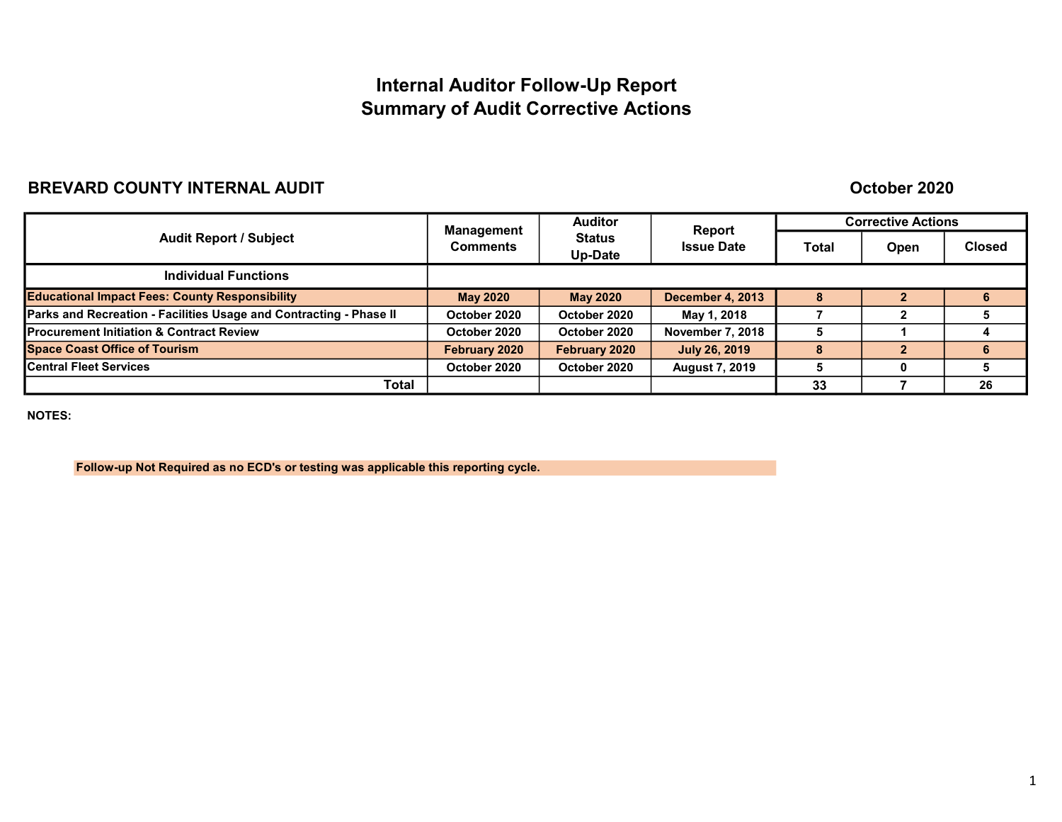# Internal Auditor Follow-Up Report Summary of Audit Corrective Actions

## BREVARD COUNTY INTERNAL AUDIT

### October 2020

| <b>Audit Report / Subject</b>                                      | <b>Auditor</b><br>Management |                          | Report                  | <b>Corrective Actions</b> |      |               |
|--------------------------------------------------------------------|------------------------------|--------------------------|-------------------------|---------------------------|------|---------------|
|                                                                    | <b>Comments</b>              | <b>Status</b><br>Up-Date | <b>Issue Date</b>       | Total                     | Open | <b>Closed</b> |
| <b>Individual Functions</b>                                        |                              |                          |                         |                           |      |               |
| <b>Educational Impact Fees: County Responsibility</b>              | <b>May 2020</b>              | <b>May 2020</b>          | <b>December 4, 2013</b> | $\bullet$                 |      | 6             |
| Parks and Recreation - Facilities Usage and Contracting - Phase II | October 2020                 | October 2020             | May 1, 2018             |                           |      |               |
| <b>Procurement Initiation &amp; Contract Review</b>                | October 2020                 | October 2020             | <b>November 7, 2018</b> |                           |      |               |
| <b>Space Coast Office of Tourism</b>                               | February 2020                | February 2020            | <b>July 26, 2019</b>    |                           |      | 6             |
| <b>Central Fleet Services</b>                                      | October 2020                 | October 2020             | <b>August 7, 2019</b>   |                           | O    |               |
| <b>Total</b>                                                       |                              |                          |                         | 33                        |      | 26            |

NOTES:

Follow-up Not Required as no ECD's or testing was applicable this reporting cycle.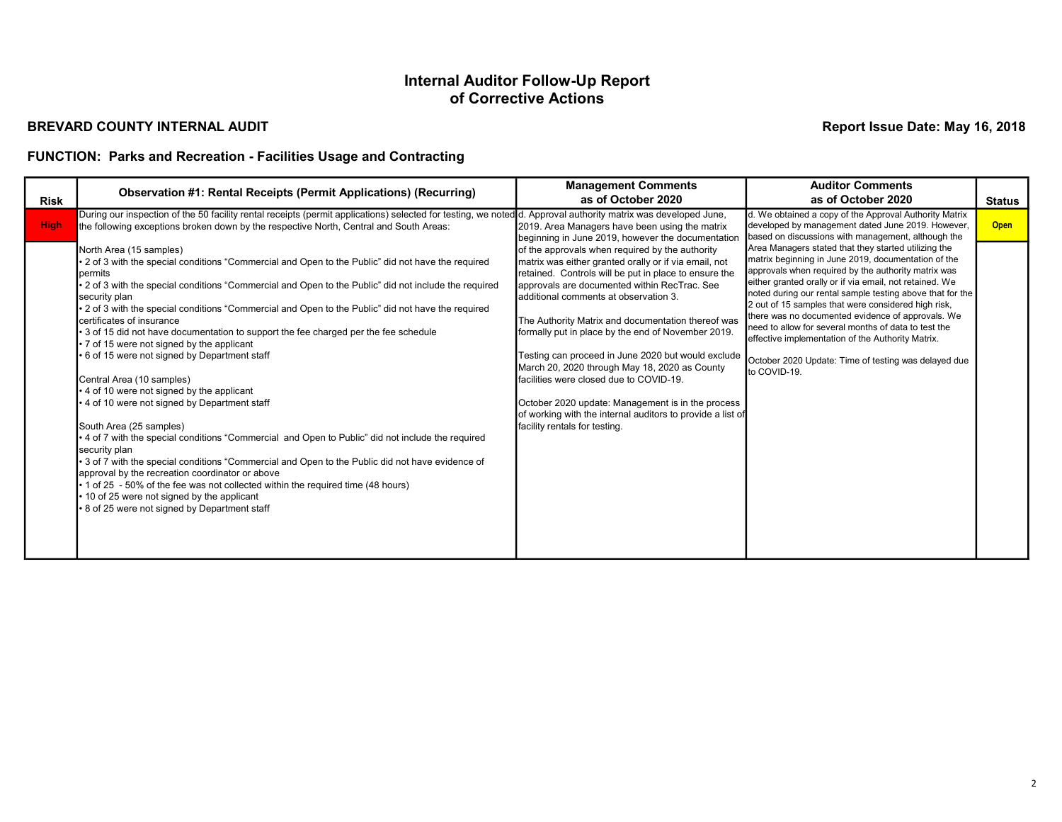#### BREVARD COUNTY INTERNAL AUDIT

Report Issue Date: May 16, 2018

## FUNCTION: Parks and Recreation - Facilities Usage and Contracting

| <b>Risk</b> | <b>Observation #1: Rental Receipts (Permit Applications) (Recurring)</b>                                                                                                                                                                                                                                                                                                                                                                                                                                                                                                                                                                                                                                                                                                                                                                                                                                                                                                                                                                                                                                                                                                                                                                                                                                                                                                                                                                                                       | <b>Management Comments</b><br>as of October 2020                                                                                                                                                                                                                                                                                                                                                                                                                                                                                                                                                                                                                                                                                                                                     | <b>Auditor Comments</b><br>as of October 2020                                                                                                                                                                                                                                                                                                                                                                                                                                                                                                                                                                                                                                                                                                                    | <b>Status</b> |
|-------------|--------------------------------------------------------------------------------------------------------------------------------------------------------------------------------------------------------------------------------------------------------------------------------------------------------------------------------------------------------------------------------------------------------------------------------------------------------------------------------------------------------------------------------------------------------------------------------------------------------------------------------------------------------------------------------------------------------------------------------------------------------------------------------------------------------------------------------------------------------------------------------------------------------------------------------------------------------------------------------------------------------------------------------------------------------------------------------------------------------------------------------------------------------------------------------------------------------------------------------------------------------------------------------------------------------------------------------------------------------------------------------------------------------------------------------------------------------------------------------|--------------------------------------------------------------------------------------------------------------------------------------------------------------------------------------------------------------------------------------------------------------------------------------------------------------------------------------------------------------------------------------------------------------------------------------------------------------------------------------------------------------------------------------------------------------------------------------------------------------------------------------------------------------------------------------------------------------------------------------------------------------------------------------|------------------------------------------------------------------------------------------------------------------------------------------------------------------------------------------------------------------------------------------------------------------------------------------------------------------------------------------------------------------------------------------------------------------------------------------------------------------------------------------------------------------------------------------------------------------------------------------------------------------------------------------------------------------------------------------------------------------------------------------------------------------|---------------|
| <b>High</b> | During our inspection of the 50 facility rental receipts (permit applications) selected for testing, we noted d. Approval authority matrix was developed June,<br>the following exceptions broken down by the respective North, Central and South Areas:<br>North Area (15 samples)<br>• 2 of 3 with the special conditions "Commercial and Open to the Public" did not have the required<br>permits<br>2 of 3 with the special conditions "Commercial and Open to the Public" did not include the required<br>security plan<br>• 2 of 3 with the special conditions "Commercial and Open to the Public" did not have the required<br>certificates of insurance<br>• 3 of 15 did not have documentation to support the fee charged per the fee schedule<br>• 7 of 15 were not signed by the applicant<br>• 6 of 15 were not signed by Department staff<br>Central Area (10 samples)<br>• 4 of 10 were not signed by the applicant<br>• 4 of 10 were not signed by Department staff<br>South Area (25 samples)<br>• 4 of 7 with the special conditions "Commercial and Open to Public" did not include the required<br>security plan<br>• 3 of 7 with the special conditions "Commercial and Open to the Public did not have evidence of<br>approval by the recreation coordinator or above<br>• 1 of 25 - 50% of the fee was not collected within the required time (48 hours)<br>• 10 of 25 were not signed by the applicant<br>• 8 of 25 were not signed by Department staff | 2019. Area Managers have been using the matrix<br>beginning in June 2019, however the documentation<br>of the approvals when required by the authority<br>matrix was either granted orally or if via email, not<br>retained. Controls will be put in place to ensure the<br>approvals are documented within RecTrac. See<br>ladditional comments at observation 3.<br>The Authority Matrix and documentation thereof was<br>formally put in place by the end of November 2019.<br>Testing can proceed in June 2020 but would exclude<br>March 20, 2020 through May 18, 2020 as County<br>facilities were closed due to COVID-19.<br>October 2020 update: Management is in the process<br>of working with the internal auditors to provide a list of<br>facility rentals for testing. | d. We obtained a copy of the Approval Authority Matrix<br>developed by management dated June 2019. However,<br>based on discussions with management, although the<br>Area Managers stated that they started utilizing the<br>matrix beginning in June 2019, documentation of the<br>approvals when required by the authority matrix was<br>either granted orally or if via email, not retained. We<br>noted during our rental sample testing above that for the<br>2 out of 15 samples that were considered high risk,<br>there was no documented evidence of approvals. We<br>need to allow for several months of data to test the<br>effective implementation of the Authority Matrix.<br>October 2020 Update: Time of testing was delayed due<br>to COVID-19. | <b>Open</b>   |
|             |                                                                                                                                                                                                                                                                                                                                                                                                                                                                                                                                                                                                                                                                                                                                                                                                                                                                                                                                                                                                                                                                                                                                                                                                                                                                                                                                                                                                                                                                                |                                                                                                                                                                                                                                                                                                                                                                                                                                                                                                                                                                                                                                                                                                                                                                                      |                                                                                                                                                                                                                                                                                                                                                                                                                                                                                                                                                                                                                                                                                                                                                                  |               |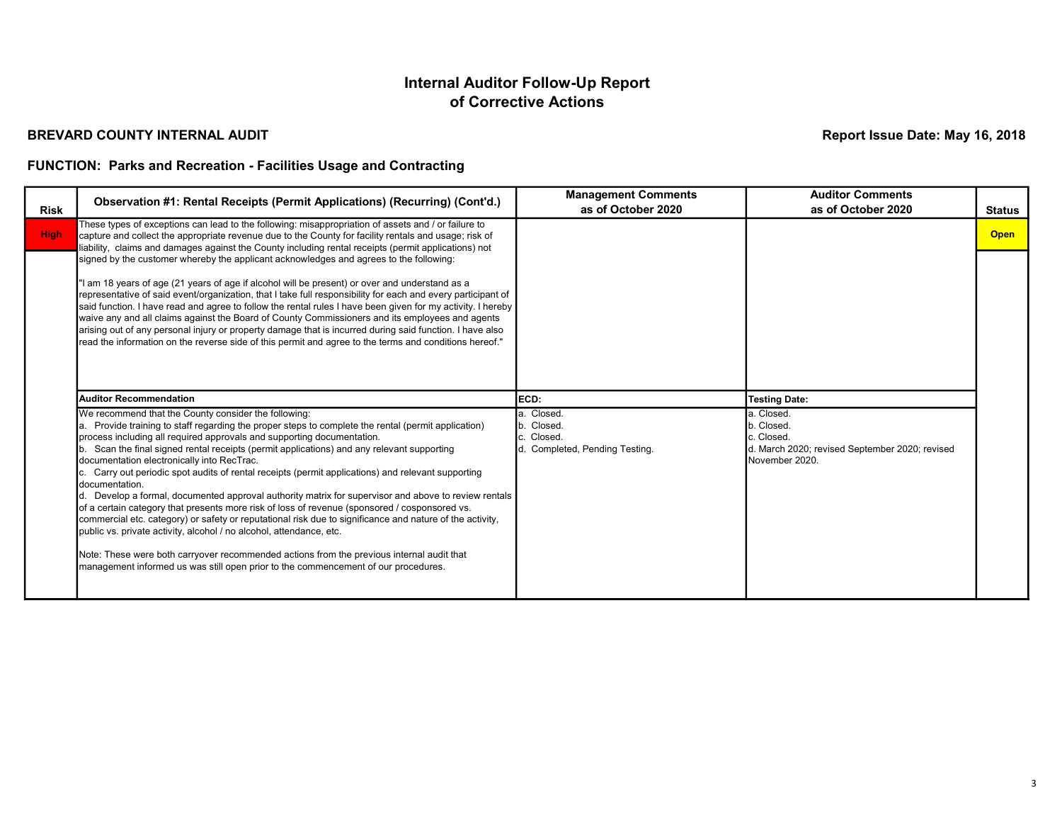#### BREVARD COUNTY INTERNAL AUDIT

Report Issue Date: May 16, 2018

### FUNCTION: Parks and Recreation - Facilities Usage and Contracting

| <b>Risk</b> | Observation #1: Rental Receipts (Permit Applications) (Recurring) (Cont'd.)                                                                                                                                                                                                                                                                                                                                                                                                                                                                                                                                                                                                                                                                                                                                                                                                                                                                                                                                                                                                              | <b>Management Comments</b><br>as of October 2020                      | <b>Auditor Comments</b><br>as of October 2020                                                               | <b>Status</b> |
|-------------|------------------------------------------------------------------------------------------------------------------------------------------------------------------------------------------------------------------------------------------------------------------------------------------------------------------------------------------------------------------------------------------------------------------------------------------------------------------------------------------------------------------------------------------------------------------------------------------------------------------------------------------------------------------------------------------------------------------------------------------------------------------------------------------------------------------------------------------------------------------------------------------------------------------------------------------------------------------------------------------------------------------------------------------------------------------------------------------|-----------------------------------------------------------------------|-------------------------------------------------------------------------------------------------------------|---------------|
| <b>High</b> | These types of exceptions can lead to the following: misappropriation of assets and / or failure to<br>capture and collect the appropriate revenue due to the County for facility rentals and usage; risk of<br>liability, claims and damages against the County including rental receipts (permit applications) not                                                                                                                                                                                                                                                                                                                                                                                                                                                                                                                                                                                                                                                                                                                                                                     |                                                                       |                                                                                                             | <b>Open</b>   |
|             | signed by the customer whereby the applicant acknowledges and agrees to the following:<br>"I am 18 years of age (21 years of age if alcohol will be present) or over and understand as a<br>representative of said event/organization, that I take full responsibility for each and every participant of<br>said function. I have read and agree to follow the rental rules I have been given for my activity. I hereby<br>waive any and all claims against the Board of County Commissioners and its employees and agents<br>arising out of any personal injury or property damage that is incurred during said function. I have also<br>read the information on the reverse side of this permit and agree to the terms and conditions hereof."                                                                                                                                                                                                                                                                                                                                         |                                                                       |                                                                                                             |               |
|             | <b>Auditor Recommendation</b>                                                                                                                                                                                                                                                                                                                                                                                                                                                                                                                                                                                                                                                                                                                                                                                                                                                                                                                                                                                                                                                            | ECD:                                                                  | <b>Testing Date:</b>                                                                                        |               |
|             | We recommend that the County consider the following:<br>a. Provide training to staff regarding the proper steps to complete the rental (permit application)<br>process including all required approvals and supporting documentation.<br>b. Scan the final signed rental receipts (permit applications) and any relevant supporting<br>documentation electronically into RecTrac.<br>c. Carry out periodic spot audits of rental receipts (permit applications) and relevant supporting<br>documentation.<br>d. Develop a formal, documented approval authority matrix for supervisor and above to review rentals<br>of a certain category that presents more risk of loss of revenue (sponsored / cosponsored vs.<br>commercial etc. category) or safety or reputational risk due to significance and nature of the activity,<br>public vs. private activity, alcohol / no alcohol, attendance, etc.<br>Note: These were both carryover recommended actions from the previous internal audit that<br>management informed us was still open prior to the commencement of our procedures. | a. Closed.<br>b. Closed.<br>Closed.<br>d. Completed, Pending Testing. | la. Closed.<br>b. Closed.<br>c. Closed.<br>d. March 2020; revised September 2020; revised<br>November 2020. |               |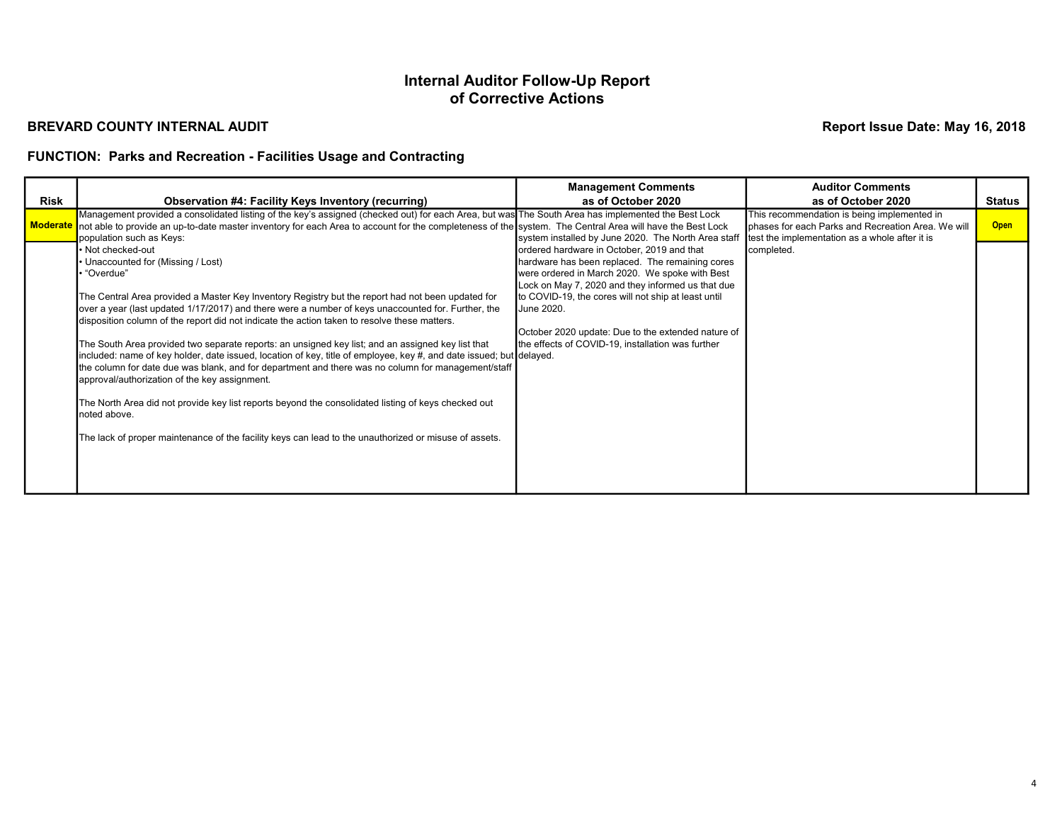#### BREVARD COUNTY INTERNAL AUDIT

Report Issue Date: May 16, 2018

## FUNCTION: Parks and Recreation - Facilities Usage and Contracting

|             |                                                                                                                                                                                                                                                                                                                                                                                                                                                                                                                                                                                                                                                                                                                 | <b>Management Comments</b>                                                                                                                                                                                                                                                | <b>Auditor Comments</b>                                                                                                                             |             |
|-------------|-----------------------------------------------------------------------------------------------------------------------------------------------------------------------------------------------------------------------------------------------------------------------------------------------------------------------------------------------------------------------------------------------------------------------------------------------------------------------------------------------------------------------------------------------------------------------------------------------------------------------------------------------------------------------------------------------------------------|---------------------------------------------------------------------------------------------------------------------------------------------------------------------------------------------------------------------------------------------------------------------------|-----------------------------------------------------------------------------------------------------------------------------------------------------|-------------|
| <b>Risk</b> | <b>Observation #4: Facility Keys Inventory (recurring)</b>                                                                                                                                                                                                                                                                                                                                                                                                                                                                                                                                                                                                                                                      | as of October 2020                                                                                                                                                                                                                                                        | as of October 2020                                                                                                                                  | Status      |
|             | Management provided a consolidated listing of the key's assigned (checked out) for each Area, but was The South Area has implemented the Best Lock<br>Moderate not able to provide an up-to-date master inventory for each Area to account for the completeness of the system. The Central Area will have the Best Lock<br>population such as Keys:                                                                                                                                                                                                                                                                                                                                                             | system installed by June 2020. The North Area staff                                                                                                                                                                                                                       | This recommendation is being implemented in<br>phases for each Parks and Recreation Area. We will<br>test the implementation as a whole after it is | <b>Open</b> |
|             | • Not checked-out<br>Unaccounted for (Missing / Lost)<br>' "Overdue"<br>The Central Area provided a Master Key Inventory Registry but the report had not been updated for<br>over a year (last updated 1/17/2017) and there were a number of keys unaccounted for. Further, the                                                                                                                                                                                                                                                                                                                                                                                                                                 | ordered hardware in October, 2019 and that<br>hardware has been replaced. The remaining cores<br>were ordered in March 2020. We spoke with Best<br>Lock on May 7, 2020 and they informed us that due<br>to COVID-19, the cores will not ship at least until<br>June 2020. | completed.                                                                                                                                          |             |
|             | disposition column of the report did not indicate the action taken to resolve these matters.<br>The South Area provided two separate reports: an unsigned key list; and an assigned key list that<br>included: name of key holder, date issued, location of key, title of employee, key #, and date issued; but delayed.<br>the column for date due was blank, and for department and there was no column for management/staff<br>approval/authorization of the key assignment.<br>The North Area did not provide key list reports beyond the consolidated listing of keys checked out<br>noted above.<br>The lack of proper maintenance of the facility keys can lead to the unauthorized or misuse of assets. | October 2020 update: Due to the extended nature of<br>the effects of COVID-19, installation was further                                                                                                                                                                   |                                                                                                                                                     |             |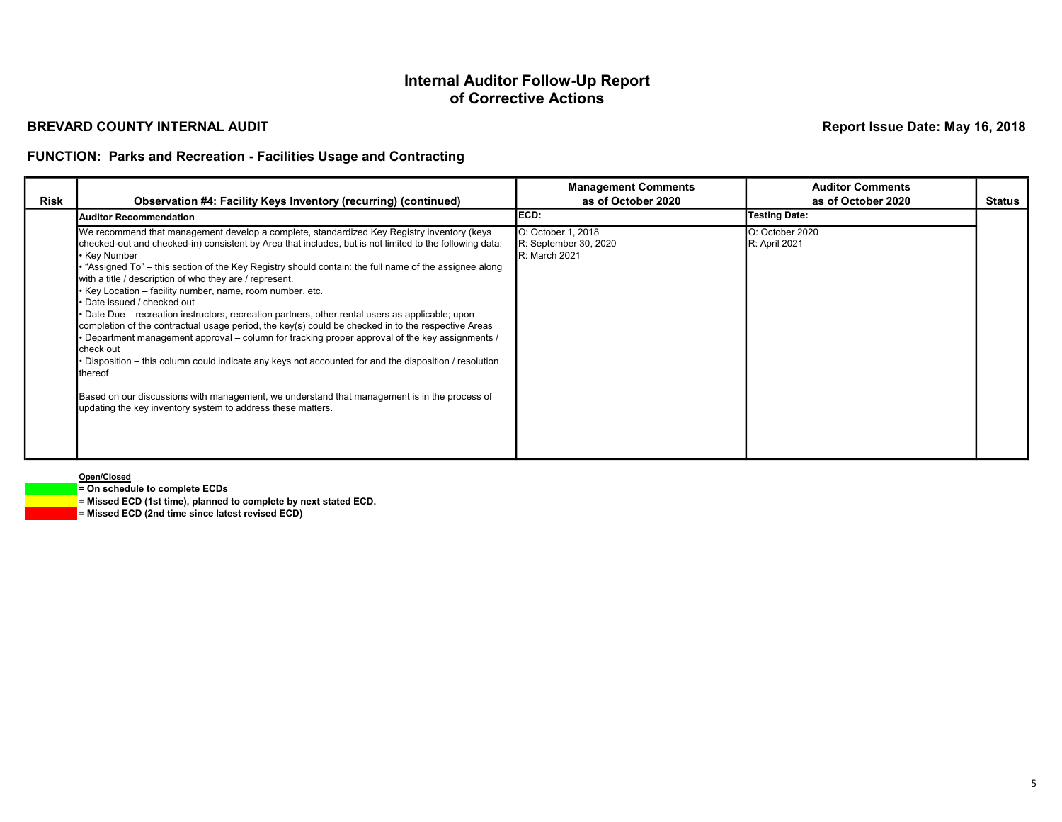#### BREVARD COUNTY INTERNAL AUDIT

Report Issue Date: May 16, 2018

### FUNCTION: Parks and Recreation - Facilities Usage and Contracting

|      |                                                                                                                                                                                                                                                                                                                                                                                                                                                                                                                                                                                                                                                                                                                                                                                                                                                                                                                                                                                                                                                                                          | <b>Management Comments</b>                                   | <b>Auditor Comments</b>          |               |
|------|------------------------------------------------------------------------------------------------------------------------------------------------------------------------------------------------------------------------------------------------------------------------------------------------------------------------------------------------------------------------------------------------------------------------------------------------------------------------------------------------------------------------------------------------------------------------------------------------------------------------------------------------------------------------------------------------------------------------------------------------------------------------------------------------------------------------------------------------------------------------------------------------------------------------------------------------------------------------------------------------------------------------------------------------------------------------------------------|--------------------------------------------------------------|----------------------------------|---------------|
| Risk | <b>Observation #4: Facility Keys Inventory (recurring) (continued)</b>                                                                                                                                                                                                                                                                                                                                                                                                                                                                                                                                                                                                                                                                                                                                                                                                                                                                                                                                                                                                                   | as of October 2020                                           | as of October 2020               | <b>Status</b> |
|      | <b>Auditor Recommendation</b>                                                                                                                                                                                                                                                                                                                                                                                                                                                                                                                                                                                                                                                                                                                                                                                                                                                                                                                                                                                                                                                            | IECD:                                                        | <b>Testing Date:</b>             |               |
|      | We recommend that management develop a complete, standardized Key Registry inventory (keys<br>checked-out and checked-in) consistent by Area that includes, but is not limited to the following data:<br>∙ Key Number<br>"Assigned To" - this section of the Key Registry should contain: the full name of the assignee along<br>with a title / description of who they are / represent.<br>Key Location – facility number, name, room number, etc.<br>Date issued / checked out<br>Date Due – recreation instructors, recreation partners, other rental users as applicable; upon<br>completion of the contractual usage period, the key(s) could be checked in to the respective Areas<br>Department management approval – column for tracking proper approval of the key assignments /<br>check out<br>Disposition – this column could indicate any keys not accounted for and the disposition / resolution<br>thereof<br>Based on our discussions with management, we understand that management is in the process of<br>updating the key inventory system to address these matters. | O: October 1, 2018<br>R: September 30, 2020<br>R: March 2021 | O: October 2020<br>R: April 2021 |               |

Open/Closed

= On schedule to complete ECDs

 $=$  Missed ECD (1st time), planned to complete by next stated ECD.

= Missed ECD (2nd time since latest revised ECD)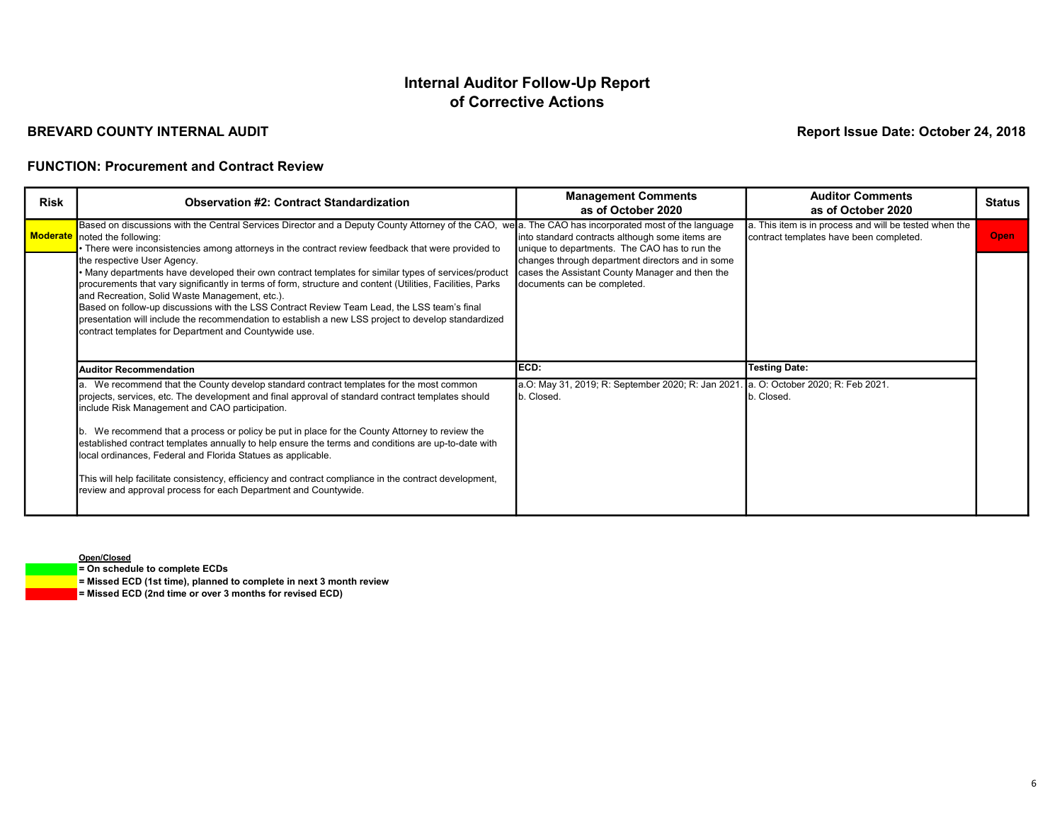### BREVARD COUNTY INTERNAL AUDIT

Report Issue Date: October 24, 2018

#### FUNCTION: Procurement and Contract Review

| <b>Risk</b> | <b>Observation #2: Contract Standardization</b>                                                                                                                                                                                                                                                                                                                                                                                                                                                                                                                  | <b>Management Comments</b><br>as of October 2020                                                                                   | <b>Auditor Comments</b><br>as of October 2020                                                     | <b>Status</b> |
|-------------|------------------------------------------------------------------------------------------------------------------------------------------------------------------------------------------------------------------------------------------------------------------------------------------------------------------------------------------------------------------------------------------------------------------------------------------------------------------------------------------------------------------------------------------------------------------|------------------------------------------------------------------------------------------------------------------------------------|---------------------------------------------------------------------------------------------------|---------------|
|             | Based on discussions with the Central Services Director and a Deputy County Attorney of the CAO, we a. The CAO has incorporated most of the language<br>Moderate noted the following:<br>There were inconsistencies among attorneys in the contract review feedback that were provided to                                                                                                                                                                                                                                                                        | into standard contracts although some items are<br>unique to departments. The CAO has to run the                                   | a. This item is in process and will be tested when the<br>contract templates have been completed. | Open          |
|             | the respective User Agency.<br>Many departments have developed their own contract templates for similar types of services/product<br>procurements that vary significantly in terms of form, structure and content (Utilities, Facilities, Parks<br>and Recreation, Solid Waste Management, etc.).<br>Based on follow-up discussions with the LSS Contract Review Team Lead, the LSS team's final<br>presentation will include the recommendation to establish a new LSS project to develop standardized<br>contract templates for Department and Countywide use. | changes through department directors and in some<br>cases the Assistant County Manager and then the<br>documents can be completed. |                                                                                                   |               |
|             | <b>Auditor Recommendation</b>                                                                                                                                                                                                                                                                                                                                                                                                                                                                                                                                    | ECD:                                                                                                                               | <b>Testing Date:</b>                                                                              |               |
|             | a. We recommend that the County develop standard contract templates for the most common<br>projects, services, etc. The development and final approval of standard contract templates should<br>include Risk Management and CAO participation.<br>b. We recommend that a process or policy be put in place for the County Attorney to review the<br>established contract templates annually to help ensure the terms and conditions are up-to-date with                                                                                                          | a.O: May 31, 2019; R: September 2020; R: Jan 2021.<br>b. Closed.                                                                   | . a. O: October 2020; R: Feb 2021.<br>b. Closed.                                                  |               |
|             | local ordinances, Federal and Florida Statues as applicable.<br>This will help facilitate consistency, efficiency and contract compliance in the contract development,<br>review and approval process for each Department and Countywide.                                                                                                                                                                                                                                                                                                                        |                                                                                                                                    |                                                                                                   |               |

Open/Closed

= On schedule to complete ECDs

 $=$  Missed ECD (1st time), planned to complete in next 3 month review

 $=$  Missed ECD (2nd time or over 3 months for revised ECD)